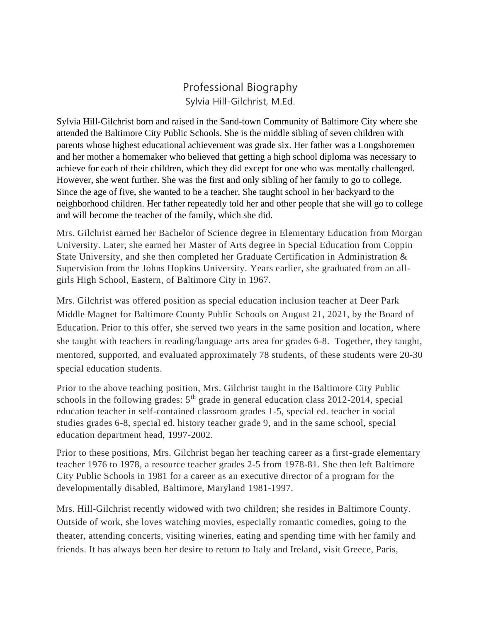# Professional Biography Sylvia Hill-Gilchrist, M.Ed.

Sylvia Hill-Gilchrist born and raised in the Sand-town Community of Baltimore City where she attended the Baltimore City Public Schools. She is the middle sibling of seven children with parents whose highest educational achievement was grade six. Her father was a Longshoremen and her mother a homemaker who believed that getting a high school diploma was necessary to achieve for each of their children, which they did except for one who was mentally challenged. However, she went further. She was the first and only sibling of her family to go to college. Since the age of five, she wanted to be a teacher. She taught school in her backyard to the neighborhood children. Her father repeatedly told her and other people that she will go to college and will become the teacher of the family, which she did.

Mrs. Gilchrist earned her Bachelor of Science degree in Elementary Education from Morgan University. Later, she earned her Master of Arts degree in Special Education from Coppin State University, and she then completed her Graduate Certification in Administration & Supervision from the Johns Hopkins University. Years earlier, she graduated from an allgirls High School, Eastern, of Baltimore City in 1967.

Mrs. Gilchrist was offered position as special education inclusion teacher at Deer Park Middle Magnet for Baltimore County Public Schools on August 21, 2021, by the Board of Education. Prior to this offer, she served two years in the same position and location, where she taught with teachers in reading/language arts area for grades 6-8. Together, they taught, mentored, supported, and evaluated approximately 78 students, of these students were 20-30 special education students.

Prior to the above teaching position, Mrs. Gilchrist taught in the Baltimore City Public schools in the following grades:  $5<sup>th</sup>$  grade in general education class 2012-2014, special education teacher in self-contained classroom grades 1-5, special ed. teacher in social studies grades 6-8, special ed. history teacher grade 9, and in the same school, special education department head, 1997-2002.

Prior to these positions, Mrs. Gilchrist began her teaching career as a first-grade elementary teacher 1976 to 1978, a resource teacher grades 2-5 from 1978-81. She then left Baltimore City Public Schools in 1981 for a career as an executive director of a program for the developmentally disabled, Baltimore, Maryland 1981-1997.

Mrs. Hill-Gilchrist recently widowed with two children; she resides in Baltimore County. Outside of work, she loves watching movies, especially romantic comedies, going to the theater, attending concerts, visiting wineries, eating and spending time with her family and friends. It has always been her desire to return to Italy and Ireland, visit Greece, Paris,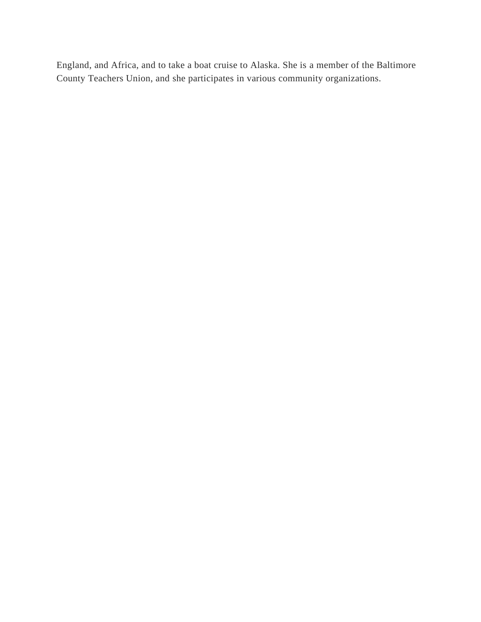England, and Africa, and to take a boat cruise to Alaska. She is a member of the Baltimore County Teachers Union, and she participates in various community organizations.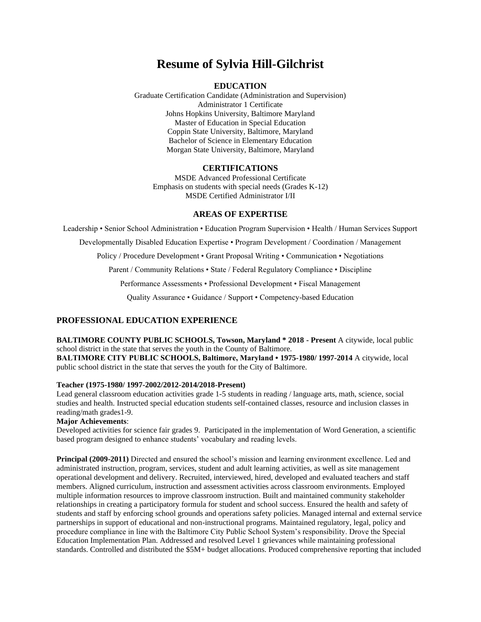# **Resume of Sylvia Hill-Gilchrist**

# **EDUCATION**

Graduate Certification Candidate (Administration and Supervision) Administrator 1 Certificate Johns Hopkins University, Baltimore Maryland Master of Education in Special Education Coppin State University, Baltimore, Maryland Bachelor of Science in Elementary Education Morgan State University, Baltimore, Maryland

#### **CERTIFICATIONS**

MSDE Advanced Professional Certificate Emphasis on students with special needs (Grades K-12) MSDE Certified Administrator I/II

#### **AREAS OF EXPERTISE**

Leadership • Senior School Administration • Education Program Supervision • Health / Human Services Support Developmentally Disabled Education Expertise • Program Development / Coordination / Management Policy / Procedure Development • Grant Proposal Writing • Communication • Negotiations Parent / Community Relations • State / Federal Regulatory Compliance • Discipline Performance Assessments • Professional Development • Fiscal Management

Quality Assurance • Guidance / Support • Competency-based Education

## **PROFESSIONAL EDUCATION EXPERIENCE**

**BALTIMORE COUNTY PUBLIC SCHOOLS, Towson, Maryland \* 2018 - Present** A citywide, local public school district in the state that serves the youth in the County of Baltimore. **BALTIMORE CITY PUBLIC SCHOOLS, Baltimore, Maryland • 1975-1980/ 1997-2014** A citywide, local

public school district in the state that serves the youth for the City of Baltimore.

#### **Teacher (1975-1980/ 1997-2002/2012-2014/2018-Present)**

Lead general classroom education activities grade 1-5 students in reading / language arts, math, science, social studies and health. Instructed special education students self-contained classes, resource and inclusion classes in reading/math grades1-9.

#### **Major Achievements**:

Developed activities for science fair grades 9. Participated in the implementation of Word Generation, a scientific based program designed to enhance students' vocabulary and reading levels.

**Principal (2009-2011)** Directed and ensured the school's mission and learning environment excellence. Led and administrated instruction, program, services, student and adult learning activities, as well as site management operational development and delivery. Recruited, interviewed, hired, developed and evaluated teachers and staff members. Aligned curriculum, instruction and assessment activities across classroom environments. Employed multiple information resources to improve classroom instruction. Built and maintained community stakeholder relationships in creating a participatory formula for student and school success. Ensured the health and safety of students and staff by enforcing school grounds and operations safety policies. Managed internal and external service partnerships in support of educational and non-instructional programs. Maintained regulatory, legal, policy and procedure compliance in line with the Baltimore City Public School System's responsibility. Drove the Special Education Implementation Plan. Addressed and resolved Level 1 grievances while maintaining professional standards. Controlled and distributed the \$5M+ budget allocations. Produced comprehensive reporting that included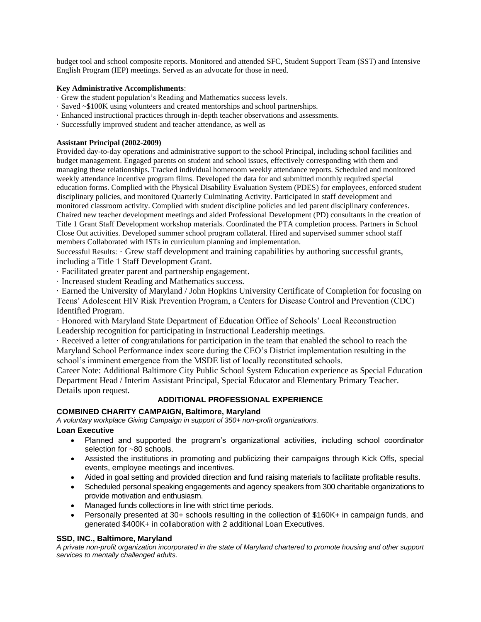budget tool and school composite reports. Monitored and attended SFC, Student Support Team (SST) and Intensive English Program (IEP) meetings. Served as an advocate for those in need.

#### **Key Administrative Accomplishments**:

- · Grew the student population's Reading and Mathematics success levels.
- · Saved ~\$100K using volunteers and created mentorships and school partnerships.
- · Enhanced instructional practices through in-depth teacher observations and assessments.
- · Successfully improved student and teacher attendance, as well as

### **Assistant Principal (2002-2009)**

Provided day-to-day operations and administrative support to the school Principal, including school facilities and budget management. Engaged parents on student and school issues, effectively corresponding with them and managing these relationships. Tracked individual homeroom weekly attendance reports. Scheduled and monitored weekly attendance incentive program films. Developed the data for and submitted monthly required special education forms. Complied with the Physical Disability Evaluation System (PDES) for employees, enforced student disciplinary policies, and monitored Quarterly Culminating Activity. Participated in staff development and monitored classroom activity. Complied with student discipline policies and led parent disciplinary conferences. Chaired new teacher development meetings and aided Professional Development (PD) consultants in the creation of Title 1 Grant Staff Development workshop materials. Coordinated the PTA completion process. Partners in School Close Out activities. Developed summer school program collateral. Hired and supervised summer school staff members Collaborated with ISTs in curriculum planning and implementation.

Successful Results: · Grew staff development and training capabilities by authoring successful grants, including a Title 1 Staff Development Grant.

- · Facilitated greater parent and partnership engagement.
- · Increased student Reading and Mathematics success.

· Earned the University of Maryland / John Hopkins University Certificate of Completion for focusing on Teens' Adolescent HIV Risk Prevention Program, a Centers for Disease Control and Prevention (CDC) Identified Program.

· Honored with Maryland State Department of Education Office of Schools' Local Reconstruction Leadership recognition for participating in Instructional Leadership meetings.

· Received a letter of congratulations for participation in the team that enabled the school to reach the Maryland School Performance index score during the CEO's District implementation resulting in the school's imminent emergence from the MSDE list of locally reconstituted schools.

Career Note: Additional Baltimore City Public School System Education experience as Special Education Department Head / Interim Assistant Principal, Special Educator and Elementary Primary Teacher. Details upon request.

# **ADDITIONAL PROFESSIONAL EXPERIENCE**

# **COMBINED CHARITY CAMPAIGN, Baltimore, Maryland**

*A voluntary workplace Giving Campaign in support of 350+ non-profit organizations.*

#### **Loan Executive**

- Planned and supported the program's organizational activities, including school coordinator selection for ~80 schools.
- Assisted the institutions in promoting and publicizing their campaigns through Kick Offs, special events, employee meetings and incentives.
- Aided in goal setting and provided direction and fund raising materials to facilitate profitable results.
- Scheduled personal speaking engagements and agency speakers from 300 charitable organizations to provide motivation and enthusiasm.
- Managed funds collections in line with strict time periods.
- Personally presented at 30+ schools resulting in the collection of \$160K+ in campaign funds, and generated \$400K+ in collaboration with 2 additional Loan Executives.

# **SSD, INC., Baltimore, Maryland**

*A private non-profit organization incorporated in the state of Maryland chartered to promote housing and other support services to mentally challenged adults.*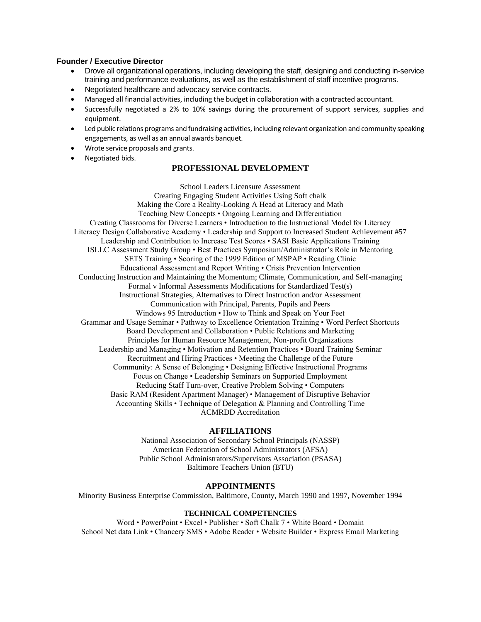#### **Founder / Executive Director**

- Drove all organizational operations, including developing the staff, designing and conducting in-service training and performance evaluations, as well as the establishment of staff incentive programs.
- Negotiated healthcare and advocacy service contracts.
- Managed all financial activities, including the budget in collaboration with a contracted accountant.
- Successfully negotiated a 2% to 10% savings during the procurement of support services, supplies and equipment.
- Led public relations programs and fundraising activities, including relevant organization and community speaking engagements, as well as an annual awards banquet.
- Wrote service proposals and grants.
- Negotiated bids.

## **PROFESSIONAL DEVELOPMENT**

School Leaders Licensure Assessment Creating Engaging Student Activities Using Soft chalk Making the Core a Reality-Looking A Head at Literacy and Math Teaching New Concepts • Ongoing Learning and Differentiation Creating Classrooms for Diverse Learners • Introduction to the Instructional Model for Literacy Literacy Design Collaborative Academy • Leadership and Support to Increased Student Achievement #57 Leadership and Contribution to Increase Test Scores • SASI Basic Applications Training ISLLC Assessment Study Group • Best Practices Symposium/Administrator's Role in Mentoring SETS Training • Scoring of the 1999 Edition of MSPAP • Reading Clinic Educational Assessment and Report Writing • Crisis Prevention Intervention Conducting Instruction and Maintaining the Momentum; Climate, Communication, and Self-managing Formal v Informal Assessments Modifications for Standardized Test(s) Instructional Strategies, Alternatives to Direct Instruction and/or Assessment Communication with Principal, Parents, Pupils and Peers Windows 95 Introduction • How to Think and Speak on Your Feet Grammar and Usage Seminar • Pathway to Excellence Orientation Training • Word Perfect Shortcuts Board Development and Collaboration • Public Relations and Marketing Principles for Human Resource Management, Non-profit Organizations Leadership and Managing • Motivation and Retention Practices • Board Training Seminar Recruitment and Hiring Practices • Meeting the Challenge of the Future Community: A Sense of Belonging • Designing Effective Instructional Programs Focus on Change • Leadership Seminars on Supported Employment Reducing Staff Turn-over, Creative Problem Solving • Computers Basic RAM (Resident Apartment Manager) • Management of Disruptive Behavior Accounting Skills • Technique of Delegation & Planning and Controlling Time ACMRDD Accreditation

#### **AFFILIATIONS**

National Association of Secondary School Principals (NASSP) American Federation of School Administrators (AFSA) Public School Administrators/Supervisors Association (PSASA) Baltimore Teachers Union (BTU)

#### **APPOINTMENTS**

Minority Business Enterprise Commission, Baltimore, County, March 1990 and 1997, November 1994

#### **TECHNICAL COMPETENCIES**

Word • PowerPoint • Excel • Publisher • Soft Chalk 7 • White Board • Domain School Net data Link • Chancery SMS • Adobe Reader • Website Builder • Express Email Marketing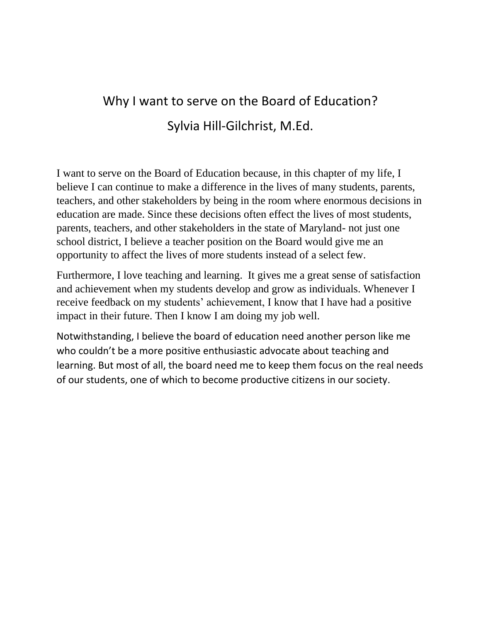# Why I want to serve on the Board of Education? Sylvia Hill-Gilchrist, M.Ed.

I want to serve on the Board of Education because, in this chapter of my life, I believe I can continue to make a difference in the lives of many students, parents, teachers, and other stakeholders by being in the room where enormous decisions in education are made. Since these decisions often effect the lives of most students, parents, teachers, and other stakeholders in the state of Maryland- not just one school district, I believe a teacher position on the Board would give me an opportunity to affect the lives of more students instead of a select few.

Furthermore, I love teaching and learning. It gives me a great sense of satisfaction and achievement when my students develop and grow as individuals. Whenever I receive feedback on my students' achievement, I know that I have had a positive impact in their future. Then I know I am doing my job well.

Notwithstanding, I believe the board of education need another person like me who couldn't be a more positive enthusiastic advocate about teaching and learning. But most of all, the board need me to keep them focus on the real needs of our students, one of which to become productive citizens in our society.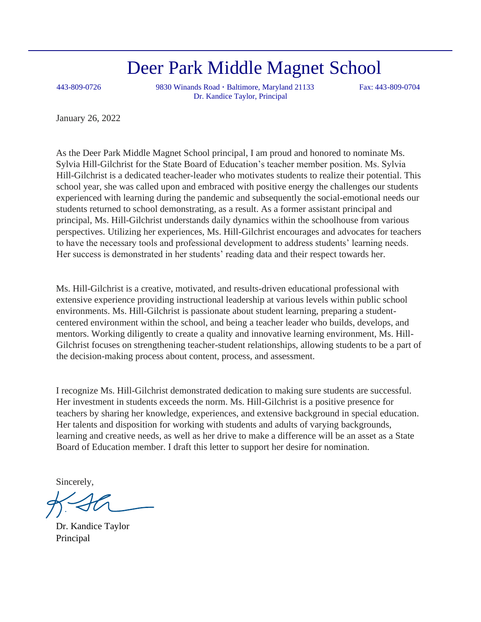# Deer Park Middle Magnet School

443-809-0726 9830 Winands Road **·** Baltimore, Maryland 21133 Fax: 443-809-0704 Dr. Kandice Taylor, Principal

January 26, 2022

As the Deer Park Middle Magnet School principal, I am proud and honored to nominate Ms. Sylvia Hill-Gilchrist for the State Board of Education's teacher member position. Ms. Sylvia Hill-Gilchrist is a dedicated teacher-leader who motivates students to realize their potential. This school year, she was called upon and embraced with positive energy the challenges our students experienced with learning during the pandemic and subsequently the social-emotional needs our students returned to school demonstrating, as a result. As a former assistant principal and principal, Ms. Hill-Gilchrist understands daily dynamics within the schoolhouse from various perspectives. Utilizing her experiences, Ms. Hill-Gilchrist encourages and advocates for teachers to have the necessary tools and professional development to address students' learning needs. Her success is demonstrated in her students' reading data and their respect towards her.

Ms. Hill-Gilchrist is a creative, motivated, and results-driven educational professional with extensive experience providing instructional leadership at various levels within public school environments. Ms. Hill-Gilchrist is passionate about student learning, preparing a studentcentered environment within the school, and being a teacher leader who builds, develops, and mentors. Working diligently to create a quality and innovative learning environment, Ms. Hill-Gilchrist focuses on strengthening teacher-student relationships, allowing students to be a part of the decision-making process about content, process, and assessment.

I recognize Ms. Hill-Gilchrist demonstrated dedication to making sure students are successful. Her investment in students exceeds the norm. Ms. Hill-Gilchrist is a positive presence for teachers by sharing her knowledge, experiences, and extensive background in special education. Her talents and disposition for working with students and adults of varying backgrounds, learning and creative needs, as well as her drive to make a difference will be an asset as a State Board of Education member. I draft this letter to support her desire for nomination.

Sincerely,

Dr. Kandice Taylor Principal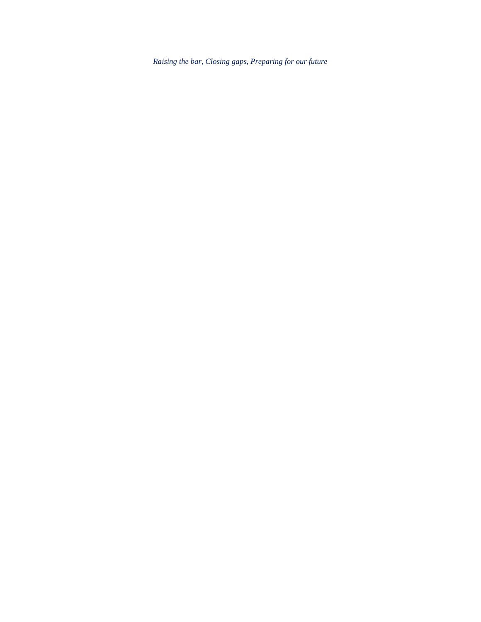*Raising the bar, Closing gaps, Preparing for our future*